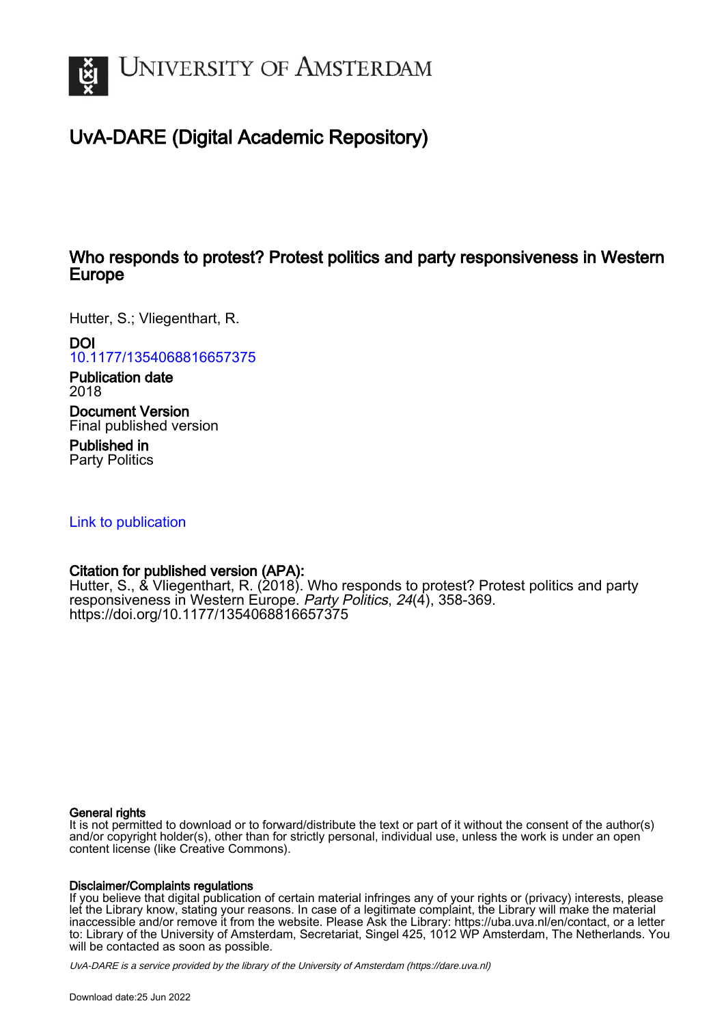

# UvA-DARE (Digital Academic Repository)

## Who responds to protest? Protest politics and party responsiveness in Western Europe

Hutter, S.; Vliegenthart, R.

DOI

[10.1177/1354068816657375](https://doi.org/10.1177/1354068816657375)

Publication date 2018

Document Version Final published version

Published in Party Politics

[Link to publication](https://dare.uva.nl/personal/pure/en/publications/who-responds-to-protest-protest-politics-and-party-responsiveness-in-western-europe(28d90806-c0f2-4db6-aad4-c330a24b700f).html)

## Citation for published version (APA):

Hutter, S., & Vliegenthart, R. (2018). Who responds to protest? Protest politics and party responsiveness in Western Europe. Party Politics, 24(4), 358-369. <https://doi.org/10.1177/1354068816657375>

#### General rights

It is not permitted to download or to forward/distribute the text or part of it without the consent of the author(s) and/or copyright holder(s), other than for strictly personal, individual use, unless the work is under an open content license (like Creative Commons).

#### Disclaimer/Complaints regulations

If you believe that digital publication of certain material infringes any of your rights or (privacy) interests, please let the Library know, stating your reasons. In case of a legitimate complaint, the Library will make the material inaccessible and/or remove it from the website. Please Ask the Library: https://uba.uva.nl/en/contact, or a letter to: Library of the University of Amsterdam, Secretariat, Singel 425, 1012 WP Amsterdam, The Netherlands. You will be contacted as soon as possible.

UvA-DARE is a service provided by the library of the University of Amsterdam (http*s*://dare.uva.nl)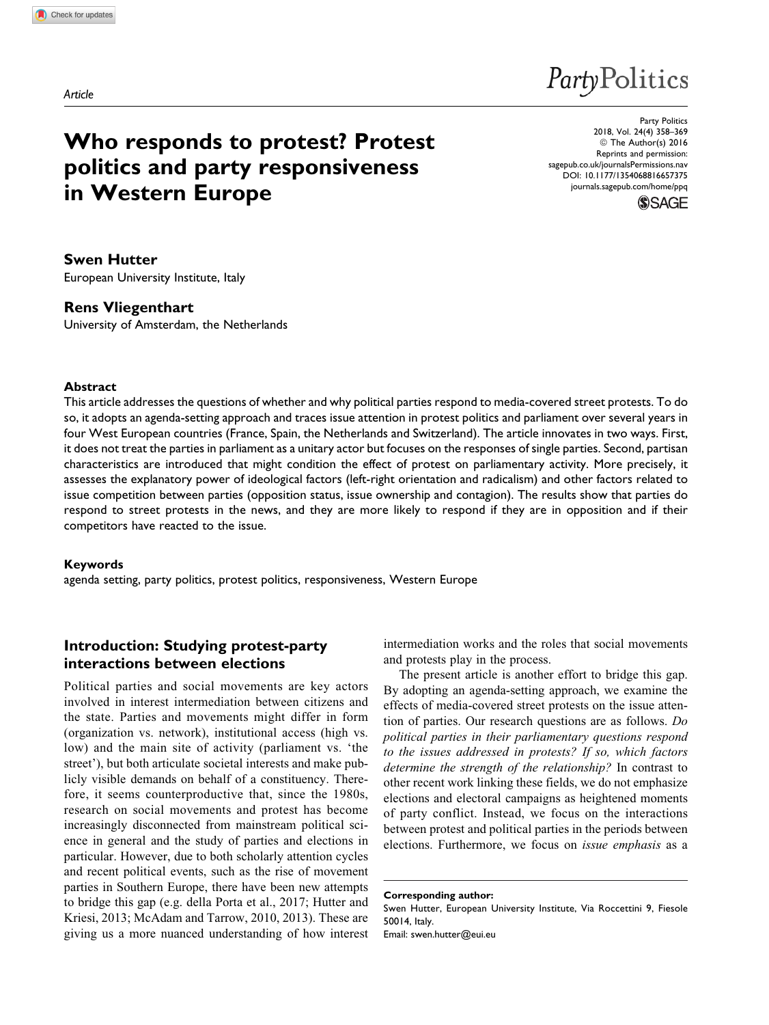# **PartyPolitics**

# Who responds to protest? Protest politics and party responsiveness in Western Europe

Party Politics 2018, Vol. 24(4) 358–369 © The Author(s) 2016 Reprints and permission: [sagepub.co.uk/journalsPermissions.nav](https://uk.sagepub.com/en-gb/journals-permissions) [DOI: 10.1177/1354068816657375](https://doi.org/10.1177/1354068816657375) [journals.sagepub.com/home/ppq](http://journals.sagepub.com/home/ppq)



Swen Hutter European University Institute, Italy

#### Rens Vliegenthart

University of Amsterdam, the Netherlands

#### Abstract

This article addresses the questions of whether and why political parties respond to media-covered street protests. To do so, it adopts an agenda-setting approach and traces issue attention in protest politics and parliament over several years in four West European countries (France, Spain, the Netherlands and Switzerland). The article innovates in two ways. First, it does not treat the parties in parliament as a unitary actor but focuses on the responses of single parties. Second, partisan characteristics are introduced that might condition the effect of protest on parliamentary activity. More precisely, it assesses the explanatory power of ideological factors (left-right orientation and radicalism) and other factors related to issue competition between parties (opposition status, issue ownership and contagion). The results show that parties do respond to street protests in the news, and they are more likely to respond if they are in opposition and if their competitors have reacted to the issue.

#### Keywords

agenda setting, party politics, protest politics, responsiveness, Western Europe

### Introduction: Studying protest-party interactions between elections

Political parties and social movements are key actors involved in interest intermediation between citizens and the state. Parties and movements might differ in form (organization vs. network), institutional access (high vs. low) and the main site of activity (parliament vs. 'the street'), but both articulate societal interests and make publicly visible demands on behalf of a constituency. Therefore, it seems counterproductive that, since the 1980s, research on social movements and protest has become increasingly disconnected from mainstream political science in general and the study of parties and elections in particular. However, due to both scholarly attention cycles and recent political events, such as the rise of movement parties in Southern Europe, there have been new attempts to bridge this gap (e.g. della Porta et al., 2017; Hutter and Kriesi, 2013; McAdam and Tarrow, 2010, 2013). These are giving us a more nuanced understanding of how interest

intermediation works and the roles that social movements and protests play in the process.

The present article is another effort to bridge this gap. By adopting an agenda-setting approach, we examine the effects of media-covered street protests on the issue attention of parties. Our research questions are as follows. Do political parties in their parliamentary questions respond to the issues addressed in protests? If so, which factors determine the strength of the relationship? In contrast to other recent work linking these fields, we do not emphasize elections and electoral campaigns as heightened moments of party conflict. Instead, we focus on the interactions between protest and political parties in the periods between elections. Furthermore, we focus on issue emphasis as a

Corresponding author: Swen Hutter, European University Institute, Via Roccettini 9, Fiesole 50014, Italy. Email: swen.hutter@eui.eu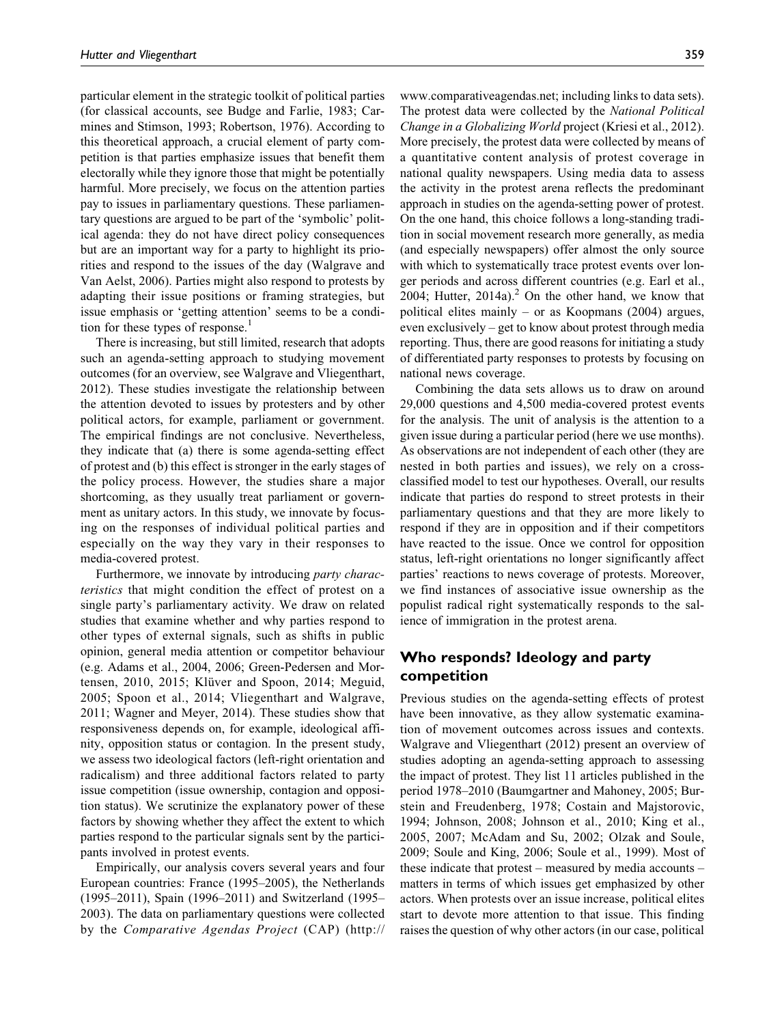particular element in the strategic toolkit of political parties (for classical accounts, see Budge and Farlie, 1983; Carmines and Stimson, 1993; Robertson, 1976). According to this theoretical approach, a crucial element of party competition is that parties emphasize issues that benefit them electorally while they ignore those that might be potentially harmful. More precisely, we focus on the attention parties pay to issues in parliamentary questions. These parliamentary questions are argued to be part of the 'symbolic' political agenda: they do not have direct policy consequences but are an important way for a party to highlight its priorities and respond to the issues of the day (Walgrave and Van Aelst, 2006). Parties might also respond to protests by adapting their issue positions or framing strategies, but issue emphasis or 'getting attention' seems to be a condition for these types of response.<sup>1</sup>

There is increasing, but still limited, research that adopts such an agenda-setting approach to studying movement outcomes (for an overview, see Walgrave and Vliegenthart, 2012). These studies investigate the relationship between the attention devoted to issues by protesters and by other political actors, for example, parliament or government. The empirical findings are not conclusive. Nevertheless, they indicate that (a) there is some agenda-setting effect of protest and (b) this effect is stronger in the early stages of the policy process. However, the studies share a major shortcoming, as they usually treat parliament or government as unitary actors. In this study, we innovate by focusing on the responses of individual political parties and especially on the way they vary in their responses to media-covered protest.

Furthermore, we innovate by introducing party characteristics that might condition the effect of protest on a single party's parliamentary activity. We draw on related studies that examine whether and why parties respond to other types of external signals, such as shifts in public opinion, general media attention or competitor behaviour (e.g. Adams et al., 2004, 2006; Green-Pedersen and Mortensen, 2010, 2015; Klüver and Spoon, 2014; Meguid, 2005; Spoon et al., 2014; Vliegenthart and Walgrave, 2011; Wagner and Meyer, 2014). These studies show that responsiveness depends on, for example, ideological affinity, opposition status or contagion. In the present study, we assess two ideological factors (left-right orientation and radicalism) and three additional factors related to party issue competition (issue ownership, contagion and opposition status). We scrutinize the explanatory power of these factors by showing whether they affect the extent to which parties respond to the particular signals sent by the participants involved in protest events.

Empirically, our analysis covers several years and four European countries: France (1995–2005), the Netherlands (1995–2011), Spain (1996–2011) and Switzerland (1995– 2003). The data on parliamentary questions were collected by the Comparative Agendas Project (CAP) ([http://](http://www.comparativeagendas.net)

[www.comparativeagendas.net](http://www.comparativeagendas.net); including links to data sets). The protest data were collected by the National Political Change in a Globalizing World project (Kriesi et al., 2012). More precisely, the protest data were collected by means of a quantitative content analysis of protest coverage in national quality newspapers. Using media data to assess the activity in the protest arena reflects the predominant approach in studies on the agenda-setting power of protest. On the one hand, this choice follows a long-standing tradition in social movement research more generally, as media (and especially newspapers) offer almost the only source with which to systematically trace protest events over longer periods and across different countries (e.g. Earl et al., 2004; Hutter,  $2014a$ ).<sup>2</sup> On the other hand, we know that political elites mainly – or as Koopmans (2004) argues, even exclusively – get to know about protest through media reporting. Thus, there are good reasons for initiating a study of differentiated party responses to protests by focusing on national news coverage.

Combining the data sets allows us to draw on around 29,000 questions and 4,500 media-covered protest events for the analysis. The unit of analysis is the attention to a given issue during a particular period (here we use months). As observations are not independent of each other (they are nested in both parties and issues), we rely on a crossclassified model to test our hypotheses. Overall, our results indicate that parties do respond to street protests in their parliamentary questions and that they are more likely to respond if they are in opposition and if their competitors have reacted to the issue. Once we control for opposition status, left-right orientations no longer significantly affect parties' reactions to news coverage of protests. Moreover, we find instances of associative issue ownership as the populist radical right systematically responds to the salience of immigration in the protest arena.

#### Who responds? Ideology and party competition

Previous studies on the agenda-setting effects of protest have been innovative, as they allow systematic examination of movement outcomes across issues and contexts. Walgrave and Vliegenthart (2012) present an overview of studies adopting an agenda-setting approach to assessing the impact of protest. They list 11 articles published in the period 1978–2010 (Baumgartner and Mahoney, 2005; Burstein and Freudenberg, 1978; Costain and Majstorovic, 1994; Johnson, 2008; Johnson et al., 2010; King et al., 2005, 2007; McAdam and Su, 2002; Olzak and Soule, 2009; Soule and King, 2006; Soule et al., 1999). Most of these indicate that protest – measured by media accounts – matters in terms of which issues get emphasized by other actors. When protests over an issue increase, political elites start to devote more attention to that issue. This finding raises the question of why other actors (in our case, political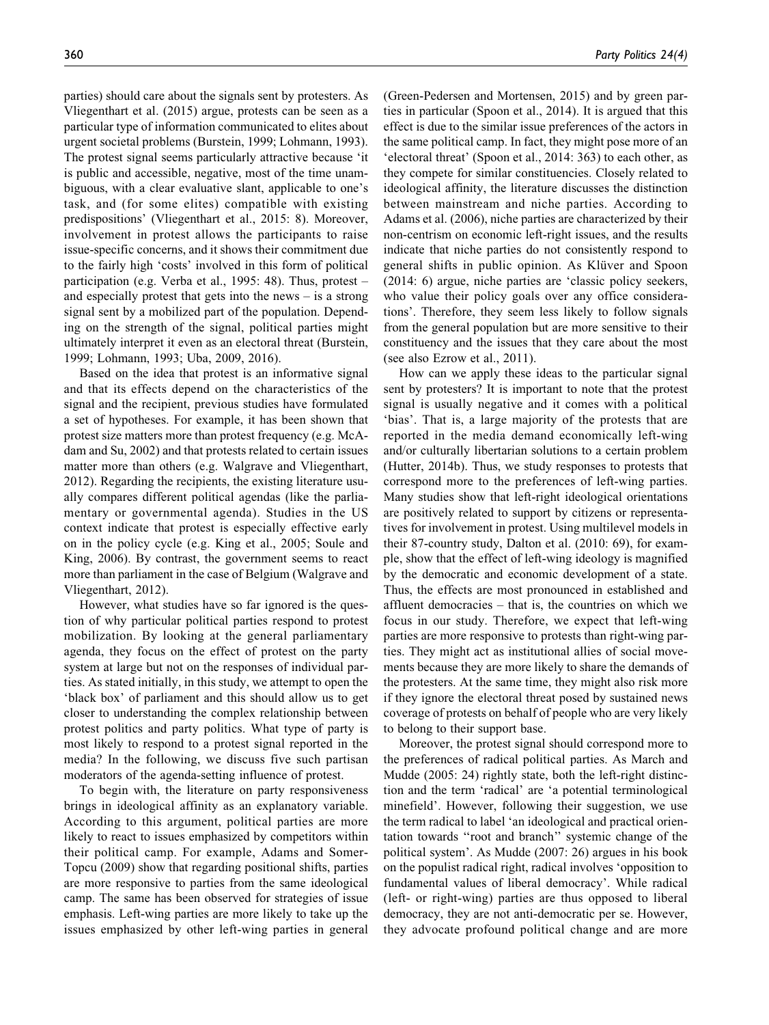parties) should care about the signals sent by protesters. As Vliegenthart et al. (2015) argue, protests can be seen as a particular type of information communicated to elites about urgent societal problems (Burstein, 1999; Lohmann, 1993). The protest signal seems particularly attractive because 'it is public and accessible, negative, most of the time unambiguous, with a clear evaluative slant, applicable to one's task, and (for some elites) compatible with existing predispositions' (Vliegenthart et al., 2015: 8). Moreover, involvement in protest allows the participants to raise issue-specific concerns, and it shows their commitment due to the fairly high 'costs' involved in this form of political participation (e.g. Verba et al., 1995: 48). Thus, protest – and especially protest that gets into the news – is a strong signal sent by a mobilized part of the population. Depending on the strength of the signal, political parties might ultimately interpret it even as an electoral threat (Burstein, 1999; Lohmann, 1993; Uba, 2009, 2016).

Based on the idea that protest is an informative signal and that its effects depend on the characteristics of the signal and the recipient, previous studies have formulated a set of hypotheses. For example, it has been shown that protest size matters more than protest frequency (e.g. McAdam and Su, 2002) and that protests related to certain issues matter more than others (e.g. Walgrave and Vliegenthart, 2012). Regarding the recipients, the existing literature usually compares different political agendas (like the parliamentary or governmental agenda). Studies in the US context indicate that protest is especially effective early on in the policy cycle (e.g. King et al., 2005; Soule and King, 2006). By contrast, the government seems to react more than parliament in the case of Belgium (Walgrave and Vliegenthart, 2012).

However, what studies have so far ignored is the question of why particular political parties respond to protest mobilization. By looking at the general parliamentary agenda, they focus on the effect of protest on the party system at large but not on the responses of individual parties. As stated initially, in this study, we attempt to open the 'black box' of parliament and this should allow us to get closer to understanding the complex relationship between protest politics and party politics. What type of party is most likely to respond to a protest signal reported in the media? In the following, we discuss five such partisan moderators of the agenda-setting influence of protest.

To begin with, the literature on party responsiveness brings in ideological affinity as an explanatory variable. According to this argument, political parties are more likely to react to issues emphasized by competitors within their political camp. For example, Adams and Somer-Topcu (2009) show that regarding positional shifts, parties are more responsive to parties from the same ideological camp. The same has been observed for strategies of issue emphasis. Left-wing parties are more likely to take up the issues emphasized by other left-wing parties in general

(Green-Pedersen and Mortensen, 2015) and by green parties in particular (Spoon et al., 2014). It is argued that this effect is due to the similar issue preferences of the actors in the same political camp. In fact, they might pose more of an 'electoral threat' (Spoon et al., 2014: 363) to each other, as they compete for similar constituencies. Closely related to ideological affinity, the literature discusses the distinction between mainstream and niche parties. According to Adams et al. (2006), niche parties are characterized by their non-centrism on economic left-right issues, and the results indicate that niche parties do not consistently respond to general shifts in public opinion. As Klüver and Spoon (2014: 6) argue, niche parties are 'classic policy seekers, who value their policy goals over any office considerations'. Therefore, they seem less likely to follow signals from the general population but are more sensitive to their constituency and the issues that they care about the most (see also Ezrow et al., 2011).

How can we apply these ideas to the particular signal sent by protesters? It is important to note that the protest signal is usually negative and it comes with a political 'bias'. That is, a large majority of the protests that are reported in the media demand economically left-wing and/or culturally libertarian solutions to a certain problem (Hutter, 2014b). Thus, we study responses to protests that correspond more to the preferences of left-wing parties. Many studies show that left-right ideological orientations are positively related to support by citizens or representatives for involvement in protest. Using multilevel models in their 87-country study, Dalton et al. (2010: 69), for example, show that the effect of left-wing ideology is magnified by the democratic and economic development of a state. Thus, the effects are most pronounced in established and affluent democracies – that is, the countries on which we focus in our study. Therefore, we expect that left-wing parties are more responsive to protests than right-wing parties. They might act as institutional allies of social movements because they are more likely to share the demands of the protesters. At the same time, they might also risk more if they ignore the electoral threat posed by sustained news coverage of protests on behalf of people who are very likely to belong to their support base.

Moreover, the protest signal should correspond more to the preferences of radical political parties. As March and Mudde (2005: 24) rightly state, both the left-right distinction and the term 'radical' are 'a potential terminological minefield'. However, following their suggestion, we use the term radical to label 'an ideological and practical orientation towards ''root and branch'' systemic change of the political system'. As Mudde (2007: 26) argues in his book on the populist radical right, radical involves 'opposition to fundamental values of liberal democracy'. While radical (left- or right-wing) parties are thus opposed to liberal democracy, they are not anti-democratic per se. However, they advocate profound political change and are more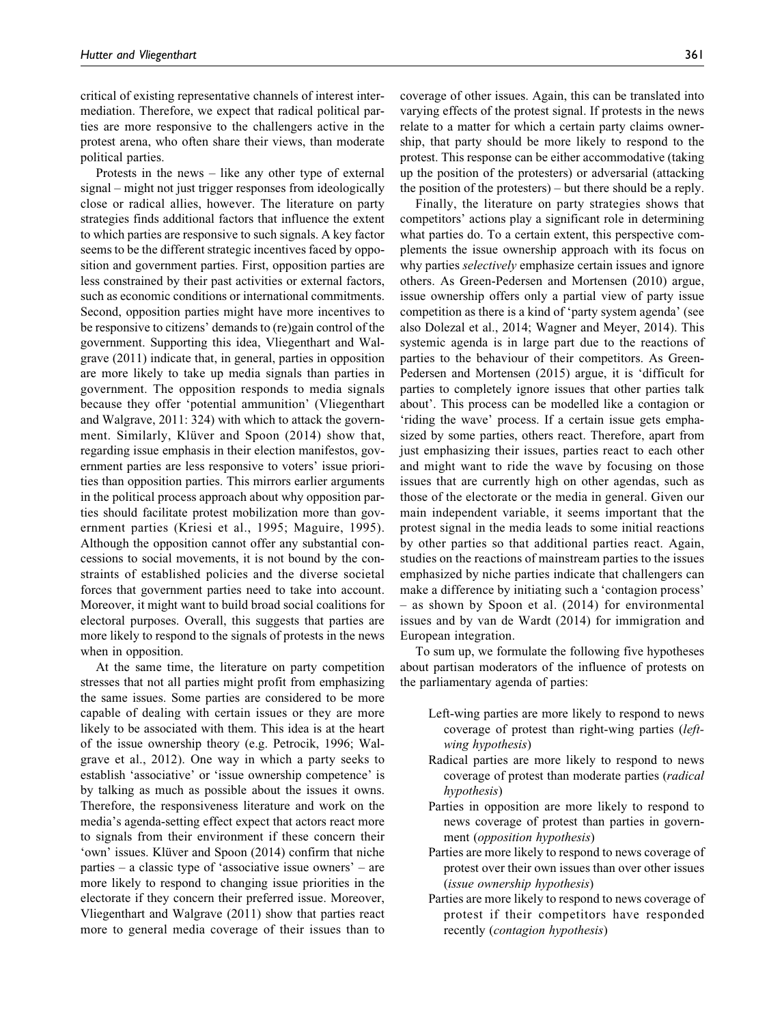critical of existing representative channels of interest intermediation. Therefore, we expect that radical political parties are more responsive to the challengers active in the protest arena, who often share their views, than moderate political parties.

Protests in the news – like any other type of external signal – might not just trigger responses from ideologically close or radical allies, however. The literature on party strategies finds additional factors that influence the extent to which parties are responsive to such signals. A key factor seems to be the different strategic incentives faced by opposition and government parties. First, opposition parties are less constrained by their past activities or external factors, such as economic conditions or international commitments. Second, opposition parties might have more incentives to be responsive to citizens' demands to (re)gain control of the government. Supporting this idea, Vliegenthart and Walgrave (2011) indicate that, in general, parties in opposition are more likely to take up media signals than parties in government. The opposition responds to media signals because they offer 'potential ammunition' (Vliegenthart and Walgrave, 2011: 324) with which to attack the government. Similarly, Klüver and Spoon (2014) show that, regarding issue emphasis in their election manifestos, government parties are less responsive to voters' issue priorities than opposition parties. This mirrors earlier arguments in the political process approach about why opposition parties should facilitate protest mobilization more than government parties (Kriesi et al., 1995; Maguire, 1995). Although the opposition cannot offer any substantial concessions to social movements, it is not bound by the constraints of established policies and the diverse societal forces that government parties need to take into account. Moreover, it might want to build broad social coalitions for electoral purposes. Overall, this suggests that parties are more likely to respond to the signals of protests in the news when in opposition.

At the same time, the literature on party competition stresses that not all parties might profit from emphasizing the same issues. Some parties are considered to be more capable of dealing with certain issues or they are more likely to be associated with them. This idea is at the heart of the issue ownership theory (e.g. Petrocik, 1996; Walgrave et al., 2012). One way in which a party seeks to establish 'associative' or 'issue ownership competence' is by talking as much as possible about the issues it owns. Therefore, the responsiveness literature and work on the media's agenda-setting effect expect that actors react more to signals from their environment if these concern their 'own' issues. Klüver and Spoon (2014) confirm that niche parties – a classic type of 'associative issue owners' – are more likely to respond to changing issue priorities in the electorate if they concern their preferred issue. Moreover, Vliegenthart and Walgrave (2011) show that parties react more to general media coverage of their issues than to

coverage of other issues. Again, this can be translated into varying effects of the protest signal. If protests in the news relate to a matter for which a certain party claims ownership, that party should be more likely to respond to the protest. This response can be either accommodative (taking up the position of the protesters) or adversarial (attacking the position of the protesters) – but there should be a reply.

Finally, the literature on party strategies shows that competitors' actions play a significant role in determining what parties do. To a certain extent, this perspective complements the issue ownership approach with its focus on why parties *selectively* emphasize certain issues and ignore others. As Green-Pedersen and Mortensen (2010) argue, issue ownership offers only a partial view of party issue competition as there is a kind of 'party system agenda' (see also Dolezal et al., 2014; Wagner and Meyer, 2014). This systemic agenda is in large part due to the reactions of parties to the behaviour of their competitors. As Green-Pedersen and Mortensen (2015) argue, it is 'difficult for parties to completely ignore issues that other parties talk about'. This process can be modelled like a contagion or 'riding the wave' process. If a certain issue gets emphasized by some parties, others react. Therefore, apart from just emphasizing their issues, parties react to each other and might want to ride the wave by focusing on those issues that are currently high on other agendas, such as those of the electorate or the media in general. Given our main independent variable, it seems important that the protest signal in the media leads to some initial reactions by other parties so that additional parties react. Again, studies on the reactions of mainstream parties to the issues emphasized by niche parties indicate that challengers can make a difference by initiating such a 'contagion process' – as shown by Spoon et al. (2014) for environmental issues and by van de Wardt (2014) for immigration and European integration.

To sum up, we formulate the following five hypotheses about partisan moderators of the influence of protests on the parliamentary agenda of parties:

- Left-wing parties are more likely to respond to news coverage of protest than right-wing parties (leftwing hypothesis)
- Radical parties are more likely to respond to news coverage of protest than moderate parties (radical hypothesis)
- Parties in opposition are more likely to respond to news coverage of protest than parties in government (opposition hypothesis)
- Parties are more likely to respond to news coverage of protest over their own issues than over other issues (issue ownership hypothesis)
- Parties are more likely to respond to news coverage of protest if their competitors have responded recently (contagion hypothesis)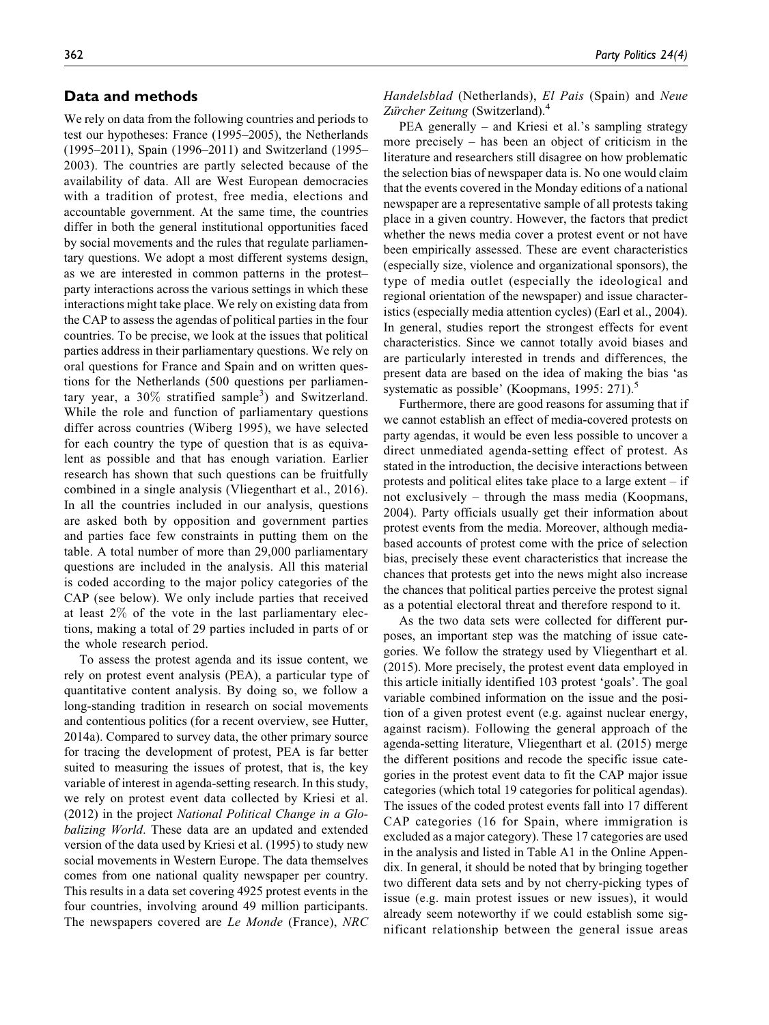#### Data and methods

We rely on data from the following countries and periods to test our hypotheses: France (1995–2005), the Netherlands (1995–2011), Spain (1996–2011) and Switzerland (1995– 2003). The countries are partly selected because of the availability of data. All are West European democracies with a tradition of protest, free media, elections and accountable government. At the same time, the countries differ in both the general institutional opportunities faced by social movements and the rules that regulate parliamentary questions. We adopt a most different systems design, as we are interested in common patterns in the protest– party interactions across the various settings in which these interactions might take place. We rely on existing data from the CAP to assess the agendas of political parties in the four countries. To be precise, we look at the issues that political parties address in their parliamentary questions. We rely on oral questions for France and Spain and on written questions for the Netherlands (500 questions per parliamentary year, a  $30\%$  stratified sample<sup>3</sup>) and Switzerland. While the role and function of parliamentary questions differ across countries (Wiberg 1995), we have selected for each country the type of question that is as equivalent as possible and that has enough variation. Earlier research has shown that such questions can be fruitfully combined in a single analysis (Vliegenthart et al., 2016). In all the countries included in our analysis, questions are asked both by opposition and government parties and parties face few constraints in putting them on the table. A total number of more than 29,000 parliamentary questions are included in the analysis. All this material is coded according to the major policy categories of the CAP (see below). We only include parties that received at least 2% of the vote in the last parliamentary elections, making a total of 29 parties included in parts of or the whole research period.

To assess the protest agenda and its issue content, we rely on protest event analysis (PEA), a particular type of quantitative content analysis. By doing so, we follow a long-standing tradition in research on social movements and contentious politics (for a recent overview, see Hutter, 2014a). Compared to survey data, the other primary source for tracing the development of protest, PEA is far better suited to measuring the issues of protest, that is, the key variable of interest in agenda-setting research. In this study, we rely on protest event data collected by Kriesi et al. (2012) in the project National Political Change in a Globalizing World. These data are an updated and extended version of the data used by Kriesi et al. (1995) to study new social movements in Western Europe. The data themselves comes from one national quality newspaper per country. This results in a data set covering 4925 protest events in the four countries, involving around 49 million participants. The newspapers covered are Le Monde (France), NRC Handelsblad (Netherlands), El Pais (Spain) and Neue Zurcher Zeitung (Switzerland).<sup>4</sup>

PEA generally – and Kriesi et al.'s sampling strategy more precisely – has been an object of criticism in the literature and researchers still disagree on how problematic the selection bias of newspaper data is. No one would claim that the events covered in the Monday editions of a national newspaper are a representative sample of all protests taking place in a given country. However, the factors that predict whether the news media cover a protest event or not have been empirically assessed. These are event characteristics (especially size, violence and organizational sponsors), the type of media outlet (especially the ideological and regional orientation of the newspaper) and issue characteristics (especially media attention cycles) (Earl et al., 2004). In general, studies report the strongest effects for event characteristics. Since we cannot totally avoid biases and are particularly interested in trends and differences, the present data are based on the idea of making the bias 'as systematic as possible' (Koopmans, 1995: 271). $\degree$ 

Furthermore, there are good reasons for assuming that if we cannot establish an effect of media-covered protests on party agendas, it would be even less possible to uncover a direct unmediated agenda-setting effect of protest. As stated in the introduction, the decisive interactions between protests and political elites take place to a large extent – if not exclusively – through the mass media (Koopmans, 2004). Party officials usually get their information about protest events from the media. Moreover, although mediabased accounts of protest come with the price of selection bias, precisely these event characteristics that increase the chances that protests get into the news might also increase the chances that political parties perceive the protest signal as a potential electoral threat and therefore respond to it.

As the two data sets were collected for different purposes, an important step was the matching of issue categories. We follow the strategy used by Vliegenthart et al. (2015). More precisely, the protest event data employed in this article initially identified 103 protest 'goals'. The goal variable combined information on the issue and the position of a given protest event (e.g. against nuclear energy, against racism). Following the general approach of the agenda-setting literature, Vliegenthart et al. (2015) merge the different positions and recode the specific issue categories in the protest event data to fit the CAP major issue categories (which total 19 categories for political agendas). The issues of the coded protest events fall into 17 different CAP categories (16 for Spain, where immigration is excluded as a major category). These 17 categories are used in the analysis and listed in Table A1 in the Online Appendix. In general, it should be noted that by bringing together two different data sets and by not cherry-picking types of issue (e.g. main protest issues or new issues), it would already seem noteworthy if we could establish some significant relationship between the general issue areas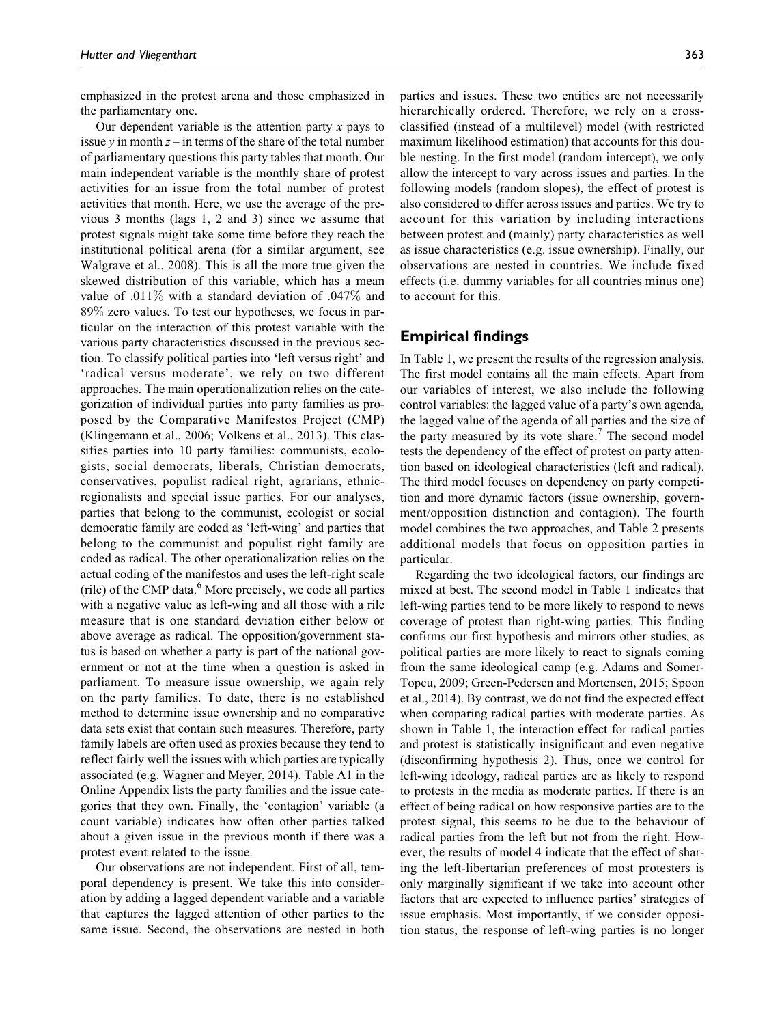emphasized in the protest arena and those emphasized in the parliamentary one.

Our dependent variable is the attention party  $x$  pays to issue y in month  $z$  – in terms of the share of the total number of parliamentary questions this party tables that month. Our main independent variable is the monthly share of protest activities for an issue from the total number of protest activities that month. Here, we use the average of the previous 3 months (lags 1, 2 and 3) since we assume that protest signals might take some time before they reach the institutional political arena (for a similar argument, see Walgrave et al., 2008). This is all the more true given the skewed distribution of this variable, which has a mean value of .011% with a standard deviation of .047% and 89% zero values. To test our hypotheses, we focus in particular on the interaction of this protest variable with the various party characteristics discussed in the previous section. To classify political parties into 'left versus right' and 'radical versus moderate', we rely on two different approaches. The main operationalization relies on the categorization of individual parties into party families as proposed by the Comparative Manifestos Project (CMP) (Klingemann et al., 2006; Volkens et al., 2013). This classifies parties into 10 party families: communists, ecologists, social democrats, liberals, Christian democrats, conservatives, populist radical right, agrarians, ethnicregionalists and special issue parties. For our analyses, parties that belong to the communist, ecologist or social democratic family are coded as 'left-wing' and parties that belong to the communist and populist right family are coded as radical. The other operationalization relies on the actual coding of the manifestos and uses the left-right scale (rile) of the CMP data. $<sup>6</sup>$  More precisely, we code all parties</sup> with a negative value as left-wing and all those with a rile measure that is one standard deviation either below or above average as radical. The opposition/government status is based on whether a party is part of the national government or not at the time when a question is asked in parliament. To measure issue ownership, we again rely on the party families. To date, there is no established method to determine issue ownership and no comparative data sets exist that contain such measures. Therefore, party family labels are often used as proxies because they tend to reflect fairly well the issues with which parties are typically associated (e.g. Wagner and Meyer, 2014). Table A1 in the Online Appendix lists the party families and the issue categories that they own. Finally, the 'contagion' variable (a count variable) indicates how often other parties talked about a given issue in the previous month if there was a protest event related to the issue.

Our observations are not independent. First of all, temporal dependency is present. We take this into consideration by adding a lagged dependent variable and a variable that captures the lagged attention of other parties to the same issue. Second, the observations are nested in both parties and issues. These two entities are not necessarily hierarchically ordered. Therefore, we rely on a crossclassified (instead of a multilevel) model (with restricted maximum likelihood estimation) that accounts for this double nesting. In the first model (random intercept), we only allow the intercept to vary across issues and parties. In the following models (random slopes), the effect of protest is also considered to differ across issues and parties. We try to account for this variation by including interactions between protest and (mainly) party characteristics as well as issue characteristics (e.g. issue ownership). Finally, our observations are nested in countries. We include fixed effects (i.e. dummy variables for all countries minus one) to account for this.

#### Empirical findings

In Table 1, we present the results of the regression analysis. The first model contains all the main effects. Apart from our variables of interest, we also include the following control variables: the lagged value of a party's own agenda, the lagged value of the agenda of all parties and the size of the party measured by its vote share.<sup>7</sup> The second model tests the dependency of the effect of protest on party attention based on ideological characteristics (left and radical). The third model focuses on dependency on party competition and more dynamic factors (issue ownership, government/opposition distinction and contagion). The fourth model combines the two approaches, and Table 2 presents additional models that focus on opposition parties in particular.

Regarding the two ideological factors, our findings are mixed at best. The second model in Table 1 indicates that left-wing parties tend to be more likely to respond to news coverage of protest than right-wing parties. This finding confirms our first hypothesis and mirrors other studies, as political parties are more likely to react to signals coming from the same ideological camp (e.g. Adams and Somer-Topcu, 2009; Green-Pedersen and Mortensen, 2015; Spoon et al., 2014). By contrast, we do not find the expected effect when comparing radical parties with moderate parties. As shown in Table 1, the interaction effect for radical parties and protest is statistically insignificant and even negative (disconfirming hypothesis 2). Thus, once we control for left-wing ideology, radical parties are as likely to respond to protests in the media as moderate parties. If there is an effect of being radical on how responsive parties are to the protest signal, this seems to be due to the behaviour of radical parties from the left but not from the right. However, the results of model 4 indicate that the effect of sharing the left-libertarian preferences of most protesters is only marginally significant if we take into account other factors that are expected to influence parties' strategies of issue emphasis. Most importantly, if we consider opposition status, the response of left-wing parties is no longer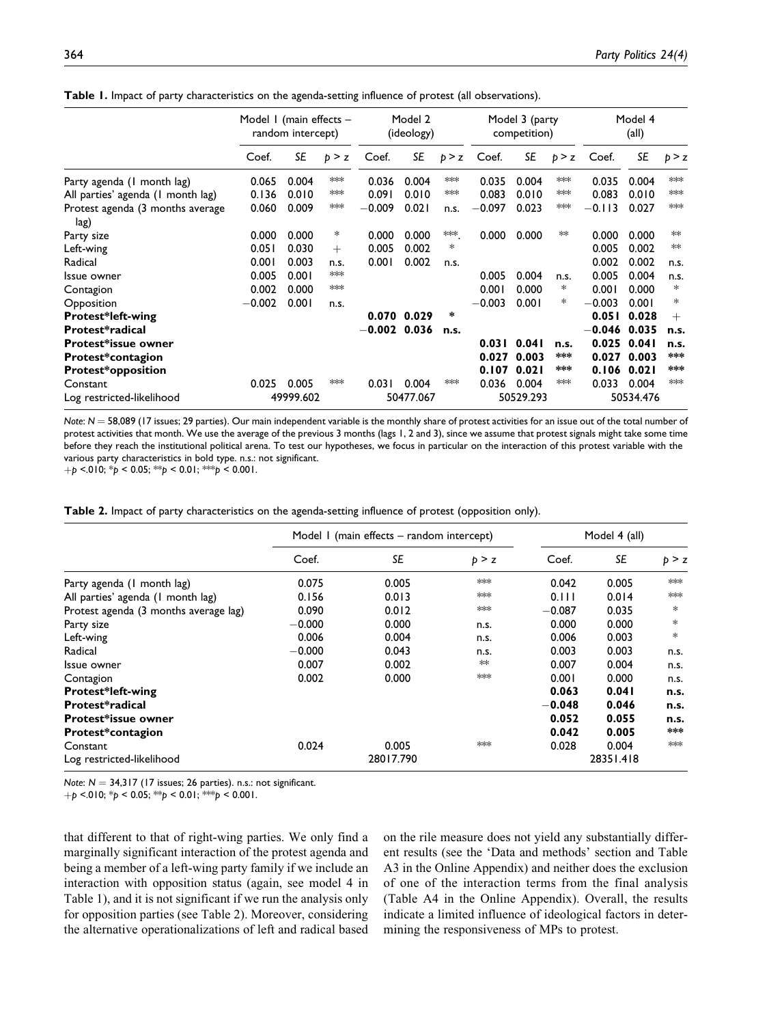Table 1. Impact of party characteristics on the agenda-setting influence of protest (all observations).

|                                          | Model I (main effects -<br>random intercept) |           |        | Model 2<br>(ideology) |           | Model 3 (party<br>competition) |          |           | Model 4<br>$\left(\text{all}\right)$ |          |           |        |
|------------------------------------------|----------------------------------------------|-----------|--------|-----------------------|-----------|--------------------------------|----------|-----------|--------------------------------------|----------|-----------|--------|
|                                          | Coef.                                        | SE        | p > z  | Coef.                 | SE        | p > z                          | Coef.    | SE        | p > z                                | Coef.    | SE        | p > z  |
| Party agenda (1 month lag)               | 0.065                                        | 0.004     | ∗∗∗    | 0.036                 | 0.004     | **                             | 0.035    | 0.004     | **                                   | 0.035    | 0.004     | ***    |
| All parties' agenda (1 month lag)        | 0.136                                        | 0.010     | $**$   | 0.091                 | 0.010     | ∗∗                             | 0.083    | 0.010     | **                                   | 0.083    | 0.010     | $**$   |
| Protest agenda (3 months average<br>lag) | 0.060                                        | 0.009     | $**$   | $-0.009$              | 0.021     | n.s.                           | $-0.097$ | 0.023     | **                                   | $-0.113$ | 0.027     | $***$  |
| Party size                               | 0.000                                        | 0.000     | *      | 0.000                 | 0.000     | ***.                           | 0.000    | 0.000     | ∗∗                                   | 0.000    | 0.000     | ∗∗     |
| Left-wing                                | 0.051                                        | 0.030     | $^{+}$ | 0.005                 | 0.002     | *                              |          |           |                                      | 0.005    | 0.002     | **     |
| Radical                                  | 0.001                                        | 0.003     | n.s.   | 0.001                 | 0.002     | n.s.                           |          |           |                                      | 0.002    | 0.002     | n.s.   |
| Issue owner                              | 0.005                                        | 0.001     | $*$    |                       |           |                                | 0.005    | 0.004     | n.s.                                 | 0.005    | 0.004     | n.s.   |
| Contagion                                | 0.002                                        | 0.000     | $*$    |                       |           |                                | 0.001    | 0.000     | ∗                                    | 0.001    | 0.000     | $\ast$ |
| Opposition                               | $-0.002$                                     | 0.001     | n.s.   |                       |           |                                | $-0.003$ | 0.001     | ∗                                    | $-0.003$ | 0.001     | $\ast$ |
| Protest*left-wing                        |                                              |           |        | 0.070                 | 0.029     | $\ast$                         |          |           |                                      | 0.051    | 0.028     | $^{+}$ |
| Protest*radical                          |                                              |           |        | $-0.002$ 0.036        |           | n.s.                           |          |           |                                      | $-0.046$ | 0.035     | n.s.   |
| Protest*issue owner                      |                                              |           |        |                       |           |                                | 0.031    | 0.041     | n.s.                                 | 0.025    | 0.041     | n.s.   |
| Protest*contagion                        |                                              |           |        |                       |           |                                | 0.027    | 0.003     | ***                                  | 0.027    | 0.003     | ***    |
| <b>Protest*opposition</b>                |                                              |           |        |                       |           |                                | 0.107    | 0.021     | ***                                  | 0.106    | 0.021     | ***    |
| Constant                                 | 0.025                                        | 0.005     | ***    | 0.031                 | 0.004     | $*$                            | 0.036    | 0.004     | **                                   | 0.033    | 0.004     | $**$   |
| Log restricted-likelihood                |                                              | 49999.602 |        |                       | 50477.067 |                                |          | 50529.293 |                                      |          | 50534.476 |        |

Note:  $N = 58,089$  (17 issues; 29 parties). Our main independent variable is the monthly share of protest activities for an issue out of the total number of protest activities that month. We use the average of the previous 3 months (lags 1, 2 and 3), since we assume that protest signals might take some time before they reach the institutional political arena. To test our hypotheses, we focus in particular on the interaction of this protest variable with the various party characteristics in bold type. n.s.: not significant.

 $+p$  <.010; \*p < 0.05; \*\*p < 0.01; \*\*p < 0.001.

|  |  | <b>Table 2.</b> Impact of party characteristics on the agenda-setting influence of protest (opposition only). |  |  |  |
|--|--|---------------------------------------------------------------------------------------------------------------|--|--|--|
|--|--|---------------------------------------------------------------------------------------------------------------|--|--|--|

|                                       |          | Model I (main effects – random intercept) | Model 4 (all) |          |           |        |
|---------------------------------------|----------|-------------------------------------------|---------------|----------|-----------|--------|
|                                       | Coef.    | SE                                        | p > z         | Coef.    | SE        | p > z  |
| Party agenda (1 month lag)            | 0.075    | 0.005                                     | $*$           | 0.042    | 0.005     | $*$    |
| All parties' agenda (1 month lag)     | 0.156    | 0.013                                     | $*$           | 0.111    | 0.014     | $*$    |
| Protest agenda (3 months average lag) | 0.090    | 0.012                                     | $*$           | $-0.087$ | 0.035     | $*$    |
| Party size                            | $-0.000$ | 0.000                                     | n.s.          | 0.000    | 0.000     | $\ast$ |
| Left-wing                             | 0.006    | 0.004                                     | n.s.          | 0.006    | 0.003     | $*$    |
| Radical                               | $-0.000$ | 0.043                                     | n.s.          | 0.003    | 0.003     | n.s.   |
| Issue owner                           | 0.007    | 0.002                                     | **            | 0.007    | 0.004     | n.s.   |
| Contagion                             | 0.002    | 0.000                                     | $*$           | 0.001    | 0.000     | n.s.   |
| <b>Protest*left-wing</b>              |          |                                           |               | 0.063    | 0.041     | n.s.   |
| Protest*radical                       |          |                                           |               | $-0.048$ | 0.046     | n.s.   |
| Protest*issue owner                   |          |                                           |               | 0.052    | 0.055     | n.s.   |
| Protest*contagion                     |          |                                           |               | 0.042    | 0.005     | ***    |
| Constant                              | 0.024    | 0.005                                     | $*$           | 0.028    | 0.004     | $*$    |
| Log restricted-likelihood             |          | 28017.790                                 |               |          | 28351.418 |        |

Note:  $N = 34,317$  (17 issues; 26 parties). n.s.: not significant.

 $+p$  <.010; \*p < 0.05; \*\*p < 0.01; \*\*\*p < 0.001.

that different to that of right-wing parties. We only find a marginally significant interaction of the protest agenda and being a member of a left-wing party family if we include an interaction with opposition status (again, see model 4 in Table 1), and it is not significant if we run the analysis only for opposition parties (see Table 2). Moreover, considering the alternative operationalizations of left and radical based

on the rile measure does not yield any substantially different results (see the 'Data and methods' section and Table A3 in the Online Appendix) and neither does the exclusion of one of the interaction terms from the final analysis (Table A4 in the Online Appendix). Overall, the results indicate a limited influence of ideological factors in determining the responsiveness of MPs to protest.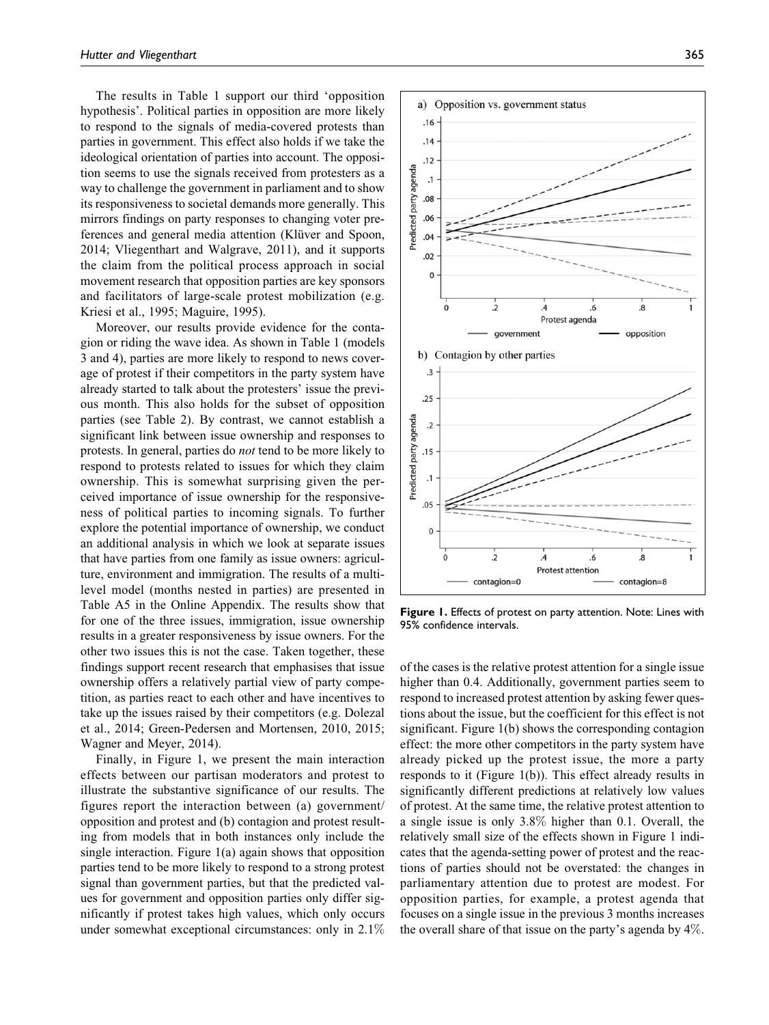The results in Table 1 support our third 'opposition hypothesis'. Political parties in opposition are more likely to respond to the signals of media-covered protests than parties in government. This effect also holds if we take the ideological orientation of parties into account. The opposition seems to use the signals received from protesters as a way to challenge the government in parliament and to show its responsiveness to societal demands more generally. This mirrors findings on party responses to changing voter preferences and general media attention (Klüver and Spoon, 2014; Vliegenthart and Walgrave, 2011), and it supports the claim from the political process approach in social movement research that opposition parties are key sponsors and facilitators of large-scale protest mobilization (e.g. Kriesi et al., 1995; Maguire, 1995).

Moreover, our results provide evidence for the contagion or riding the wave idea. As shown in Table 1 (models 3 and 4), parties are more likely to respond to news coverage of protest if their competitors in the party system have already started to talk about the protesters' issue the previous month. This also holds for the subset of opposition parties (see Table 2). By contrast, we cannot establish a significant link between issue ownership and responses to protests. In general, parties do not tend to be more likely to respond to protests related to issues for which they claim ownership. This is somewhat surprising given the perceived importance of issue ownership for the responsiveness of political parties to incoming signals. To further explore the potential importance of ownership, we conduct an additional analysis in which we look at separate issues that have parties from one family as issue owners: agriculture, environment and immigration. The results of a multilevel model (months nested in parties) are presented in Table A5 in the Online Appendix. The results show that for one of the three issues, immigration, issue ownership results in a greater responsiveness by issue owners. For the other two issues this is not the case. Taken together, these findings support recent research that emphasises that issue ownership offers a relatively partial view of party competition, as parties react to each other and have incentives to take up the issues raised by their competitors (e.g. Dolezal et al., 2014; Green-Pedersen and Mortensen, 2010, 2015; Wagner and Meyer, 2014).

Finally, in Figure 1, we present the main interaction effects between our partisan moderators and protest to illustrate the substantive significance of our results. The figures report the interaction between (a) government/ opposition and protest and (b) contagion and protest resulting from models that in both instances only include the single interaction. Figure 1(a) again shows that opposition parties tend to be more likely to respond to a strong protest signal than government parties, but that the predicted values for government and opposition parties only differ significantly if protest takes high values, which only occurs under somewhat exceptional circumstances: only in 2.1%



Figure 1. Effects of protest on party attention. Note: Lines with 95% confidence intervals.

of the cases is the relative protest attention for a single issue higher than 0.4. Additionally, government parties seem to respond to increased protest attention by asking fewer questions about the issue, but the coefficient for this effect is not significant. Figure 1(b) shows the corresponding contagion effect: the more other competitors in the party system have already picked up the protest issue, the more a party responds to it (Figure 1(b)). This effect already results in significantly different predictions at relatively low values of protest. At the same time, the relative protest attention to a single issue is only 3.8% higher than 0.1. Overall, the relatively small size of the effects shown in Figure 1 indicates that the agenda-setting power of protest and the reactions of parties should not be overstated: the changes in parliamentary attention due to protest are modest. For opposition parties, for example, a protest agenda that focuses on a single issue in the previous 3 months increases the overall share of that issue on the party's agenda by 4%.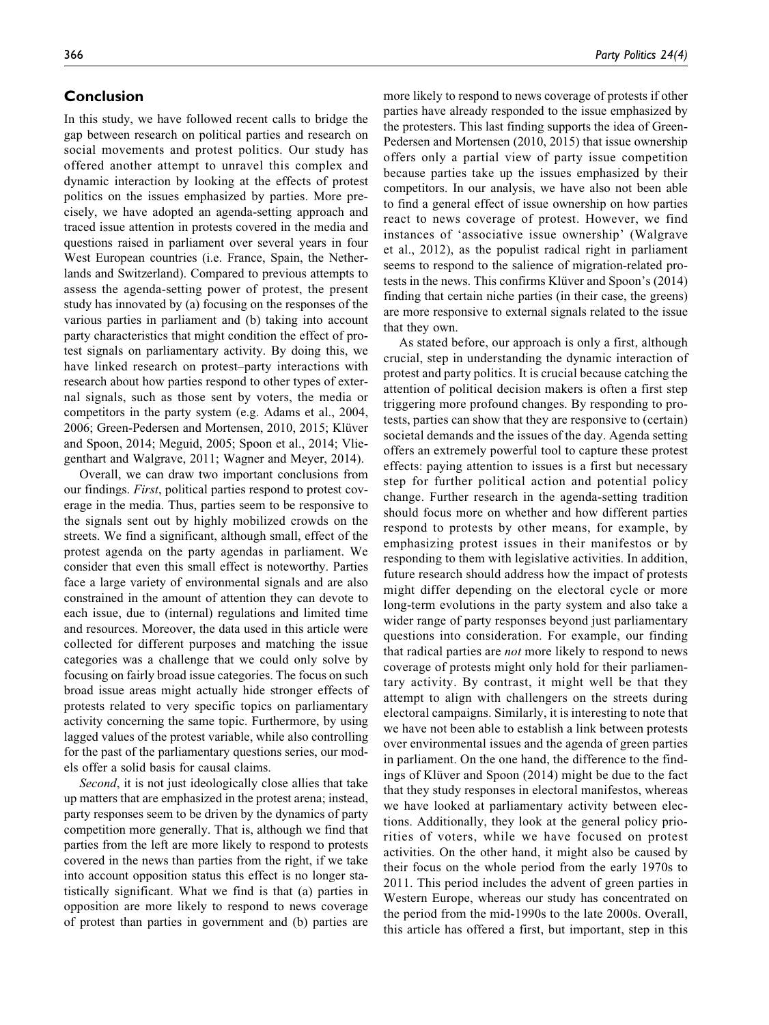#### Conclusion

In this study, we have followed recent calls to bridge the gap between research on political parties and research on social movements and protest politics. Our study has offered another attempt to unravel this complex and dynamic interaction by looking at the effects of protest politics on the issues emphasized by parties. More precisely, we have adopted an agenda-setting approach and traced issue attention in protests covered in the media and questions raised in parliament over several years in four West European countries (i.e. France, Spain, the Netherlands and Switzerland). Compared to previous attempts to assess the agenda-setting power of protest, the present study has innovated by (a) focusing on the responses of the various parties in parliament and (b) taking into account party characteristics that might condition the effect of protest signals on parliamentary activity. By doing this, we have linked research on protest–party interactions with research about how parties respond to other types of external signals, such as those sent by voters, the media or competitors in the party system (e.g. Adams et al., 2004, 2006; Green-Pedersen and Mortensen, 2010, 2015; Klüver and Spoon, 2014; Meguid, 2005; Spoon et al., 2014; Vliegenthart and Walgrave, 2011; Wagner and Meyer, 2014).

Overall, we can draw two important conclusions from our findings. First, political parties respond to protest coverage in the media. Thus, parties seem to be responsive to the signals sent out by highly mobilized crowds on the streets. We find a significant, although small, effect of the protest agenda on the party agendas in parliament. We consider that even this small effect is noteworthy. Parties face a large variety of environmental signals and are also constrained in the amount of attention they can devote to each issue, due to (internal) regulations and limited time and resources. Moreover, the data used in this article were collected for different purposes and matching the issue categories was a challenge that we could only solve by focusing on fairly broad issue categories. The focus on such broad issue areas might actually hide stronger effects of protests related to very specific topics on parliamentary activity concerning the same topic. Furthermore, by using lagged values of the protest variable, while also controlling for the past of the parliamentary questions series, our models offer a solid basis for causal claims.

Second, it is not just ideologically close allies that take up matters that are emphasized in the protest arena; instead, party responses seem to be driven by the dynamics of party competition more generally. That is, although we find that parties from the left are more likely to respond to protests covered in the news than parties from the right, if we take into account opposition status this effect is no longer statistically significant. What we find is that (a) parties in opposition are more likely to respond to news coverage of protest than parties in government and (b) parties are more likely to respond to news coverage of protests if other parties have already responded to the issue emphasized by the protesters. This last finding supports the idea of Green-Pedersen and Mortensen (2010, 2015) that issue ownership offers only a partial view of party issue competition because parties take up the issues emphasized by their competitors. In our analysis, we have also not been able to find a general effect of issue ownership on how parties react to news coverage of protest. However, we find instances of 'associative issue ownership' (Walgrave et al., 2012), as the populist radical right in parliament seems to respond to the salience of migration-related protests in the news. This confirms Klüver and Spoon's (2014) finding that certain niche parties (in their case, the greens) are more responsive to external signals related to the issue that they own.

As stated before, our approach is only a first, although crucial, step in understanding the dynamic interaction of protest and party politics. It is crucial because catching the attention of political decision makers is often a first step triggering more profound changes. By responding to protests, parties can show that they are responsive to (certain) societal demands and the issues of the day. Agenda setting offers an extremely powerful tool to capture these protest effects: paying attention to issues is a first but necessary step for further political action and potential policy change. Further research in the agenda-setting tradition should focus more on whether and how different parties respond to protests by other means, for example, by emphasizing protest issues in their manifestos or by responding to them with legislative activities. In addition, future research should address how the impact of protests might differ depending on the electoral cycle or more long-term evolutions in the party system and also take a wider range of party responses beyond just parliamentary questions into consideration. For example, our finding that radical parties are not more likely to respond to news coverage of protests might only hold for their parliamentary activity. By contrast, it might well be that they attempt to align with challengers on the streets during electoral campaigns. Similarly, it is interesting to note that we have not been able to establish a link between protests over environmental issues and the agenda of green parties in parliament. On the one hand, the difference to the findings of Klüver and Spoon (2014) might be due to the fact that they study responses in electoral manifestos, whereas we have looked at parliamentary activity between elections. Additionally, they look at the general policy priorities of voters, while we have focused on protest activities. On the other hand, it might also be caused by their focus on the whole period from the early 1970s to 2011. This period includes the advent of green parties in Western Europe, whereas our study has concentrated on the period from the mid-1990s to the late 2000s. Overall, this article has offered a first, but important, step in this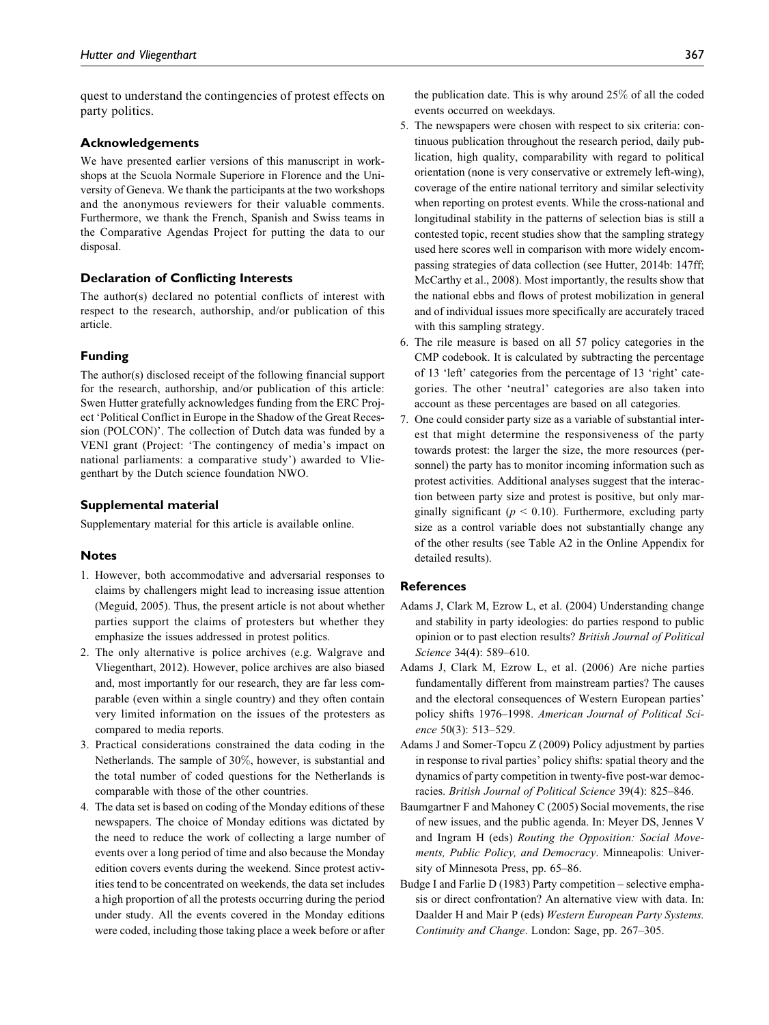quest to understand the contingencies of protest effects on party politics.

#### Acknowledgements

We have presented earlier versions of this manuscript in workshops at the Scuola Normale Superiore in Florence and the University of Geneva. We thank the participants at the two workshops and the anonymous reviewers for their valuable comments. Furthermore, we thank the French, Spanish and Swiss teams in the Comparative Agendas Project for putting the data to our disposal.

#### Declaration of Conflicting Interests

The author(s) declared no potential conflicts of interest with respect to the research, authorship, and/or publication of this article.

#### Funding

The author(s) disclosed receipt of the following financial support for the research, authorship, and/or publication of this article: Swen Hutter gratefully acknowledges funding from the ERC Project 'Political Conflict in Europe in the Shadow of the Great Recession (POLCON)'. The collection of Dutch data was funded by a VENI grant (Project: 'The contingency of media's impact on national parliaments: a comparative study') awarded to Vliegenthart by the Dutch science foundation NWO.

#### Supplemental material

Supplementary material for this article is available online.

#### **Notes**

- 1. However, both accommodative and adversarial responses to claims by challengers might lead to increasing issue attention (Meguid, 2005). Thus, the present article is not about whether parties support the claims of protesters but whether they emphasize the issues addressed in protest politics.
- 2. The only alternative is police archives (e.g. Walgrave and Vliegenthart, 2012). However, police archives are also biased and, most importantly for our research, they are far less comparable (even within a single country) and they often contain very limited information on the issues of the protesters as compared to media reports.
- 3. Practical considerations constrained the data coding in the Netherlands. The sample of 30%, however, is substantial and the total number of coded questions for the Netherlands is comparable with those of the other countries.
- 4. The data set is based on coding of the Monday editions of these newspapers. The choice of Monday editions was dictated by the need to reduce the work of collecting a large number of events over a long period of time and also because the Monday edition covers events during the weekend. Since protest activities tend to be concentrated on weekends, the data set includes a high proportion of all the protests occurring during the period under study. All the events covered in the Monday editions were coded, including those taking place a week before or after

the publication date. This is why around 25% of all the coded events occurred on weekdays.

- 5. The newspapers were chosen with respect to six criteria: continuous publication throughout the research period, daily publication, high quality, comparability with regard to political orientation (none is very conservative or extremely left-wing), coverage of the entire national territory and similar selectivity when reporting on protest events. While the cross-national and longitudinal stability in the patterns of selection bias is still a contested topic, recent studies show that the sampling strategy used here scores well in comparison with more widely encompassing strategies of data collection (see Hutter, 2014b: 147ff; McCarthy et al., 2008). Most importantly, the results show that the national ebbs and flows of protest mobilization in general and of individual issues more specifically are accurately traced with this sampling strategy.
- 6. The rile measure is based on all 57 policy categories in the CMP codebook. It is calculated by subtracting the percentage of 13 'left' categories from the percentage of 13 'right' categories. The other 'neutral' categories are also taken into account as these percentages are based on all categories.
- 7. One could consider party size as a variable of substantial interest that might determine the responsiveness of the party towards protest: the larger the size, the more resources (personnel) the party has to monitor incoming information such as protest activities. Additional analyses suggest that the interaction between party size and protest is positive, but only marginally significant ( $p \le 0.10$ ). Furthermore, excluding party size as a control variable does not substantially change any of the other results (see Table A2 in the Online Appendix for detailed results).

#### References

- Adams J, Clark M, Ezrow L, et al. (2004) Understanding change and stability in party ideologies: do parties respond to public opinion or to past election results? British Journal of Political Science 34(4): 589–610.
- Adams J, Clark M, Ezrow L, et al. (2006) Are niche parties fundamentally different from mainstream parties? The causes and the electoral consequences of Western European parties' policy shifts 1976–1998. American Journal of Political Science 50(3): 513–529.
- Adams J and Somer-Topcu Z (2009) Policy adjustment by parties in response to rival parties' policy shifts: spatial theory and the dynamics of party competition in twenty-five post-war democracies. British Journal of Political Science 39(4): 825–846.
- Baumgartner F and Mahoney C (2005) Social movements, the rise of new issues, and the public agenda. In: Meyer DS, Jennes V and Ingram H (eds) Routing the Opposition: Social Movements, Public Policy, and Democracy. Minneapolis: University of Minnesota Press, pp. 65–86.
- Budge I and Farlie D (1983) Party competition selective emphasis or direct confrontation? An alternative view with data. In: Daalder H and Mair P (eds) Western European Party Systems. Continuity and Change. London: Sage, pp. 267–305.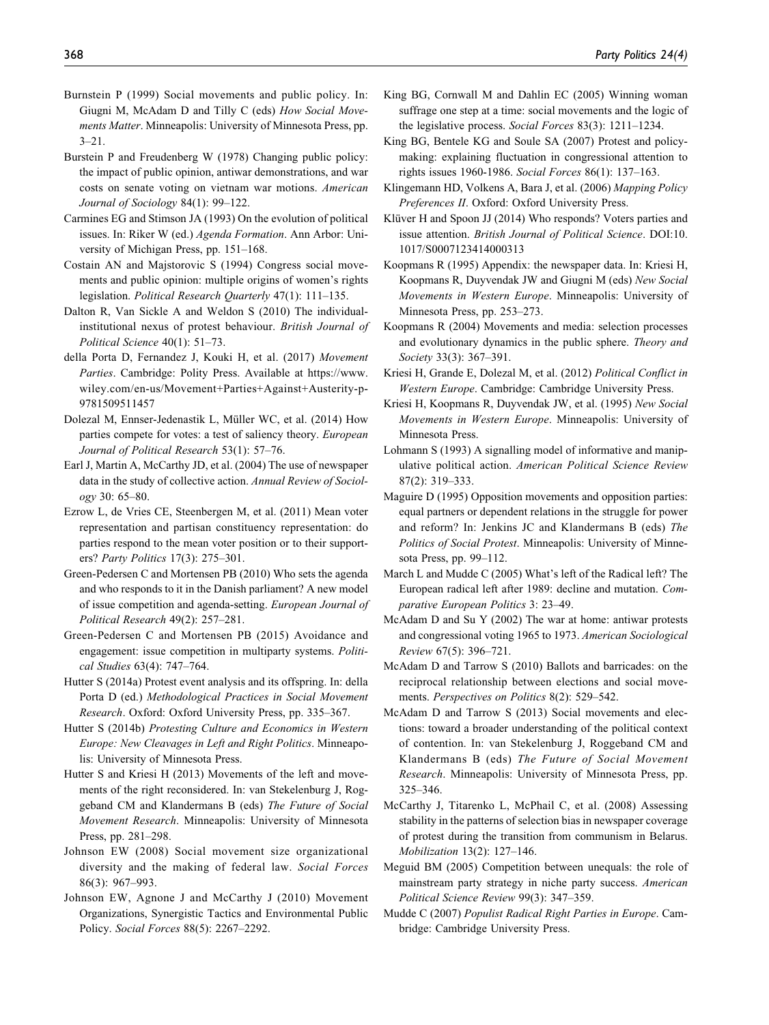- Burnstein P (1999) Social movements and public policy. In: Giugni M, McAdam D and Tilly C (eds) How Social Movements Matter. Minneapolis: University of Minnesota Press, pp. 3–21.
- Burstein P and Freudenberg W (1978) Changing public policy: the impact of public opinion, antiwar demonstrations, and war costs on senate voting on vietnam war motions. American Journal of Sociology 84(1): 99–122.
- Carmines EG and Stimson JA (1993) On the evolution of political issues. In: Riker W (ed.) Agenda Formation. Ann Arbor: University of Michigan Press, pp. 151–168.
- Costain AN and Majstorovic S (1994) Congress social movements and public opinion: multiple origins of women's rights legislation. Political Research Quarterly 47(1): 111–135.
- Dalton R, Van Sickle A and Weldon S (2010) The individualinstitutional nexus of protest behaviour. British Journal of Political Science 40(1): 51–73.
- della Porta D, Fernandez J, Kouki H, et al. (2017) Movement Parties. Cambridge: Polity Press. Available at [https://www.](https://www.wiley.com/en-us/Movement+Parties+Against+Austerity-p-9781509511457) [wiley.com/en-us/Movement+Parties+Against+Austerity-p-](https://www.wiley.com/en-us/Movement+Parties+Against+Austerity-p-9781509511457)[9781509511457](https://www.wiley.com/en-us/Movement+Parties+Against+Austerity-p-9781509511457)
- Dolezal M, Ennser-Jedenastik L, Müller WC, et al. (2014) How parties compete for votes: a test of saliency theory. European Journal of Political Research 53(1): 57–76.
- Earl J, Martin A, McCarthy JD, et al. (2004) The use of newspaper data in the study of collective action. Annual Review of Sociology 30: 65–80.
- Ezrow L, de Vries CE, Steenbergen M, et al. (2011) Mean voter representation and partisan constituency representation: do parties respond to the mean voter position or to their supporters? Party Politics 17(3): 275–301.
- Green-Pedersen C and Mortensen PB (2010) Who sets the agenda and who responds to it in the Danish parliament? A new model of issue competition and agenda-setting. European Journal of Political Research 49(2): 257–281.
- Green-Pedersen C and Mortensen PB (2015) Avoidance and engagement: issue competition in multiparty systems. Political Studies 63(4): 747–764.
- Hutter S (2014a) Protest event analysis and its offspring. In: della Porta D (ed.) Methodological Practices in Social Movement Research. Oxford: Oxford University Press, pp. 335–367.
- Hutter S (2014b) Protesting Culture and Economics in Western Europe: New Cleavages in Left and Right Politics. Minneapolis: University of Minnesota Press.
- Hutter S and Kriesi H (2013) Movements of the left and movements of the right reconsidered. In: van Stekelenburg J, Roggeband CM and Klandermans B (eds) The Future of Social Movement Research. Minneapolis: University of Minnesota Press, pp. 281–298.
- Johnson EW (2008) Social movement size organizational diversity and the making of federal law. Social Forces 86(3): 967–993.
- Johnson EW, Agnone J and McCarthy J (2010) Movement Organizations, Synergistic Tactics and Environmental Public Policy. Social Forces 88(5): 2267–2292.
- King BG, Cornwall M and Dahlin EC (2005) Winning woman suffrage one step at a time: social movements and the logic of the legislative process. Social Forces 83(3): 1211–1234.
- King BG, Bentele KG and Soule SA (2007) Protest and policymaking: explaining fluctuation in congressional attention to rights issues 1960-1986. Social Forces 86(1): 137–163.
- Klingemann HD, Volkens A, Bara J, et al. (2006) Mapping Policy Preferences II. Oxford: Oxford University Press.
- Klüver H and Spoon JJ (2014) Who responds? Voters parties and issue attention. British Journal of Political Science. DOI:10. 1017/S0007123414000313
- Koopmans R (1995) Appendix: the newspaper data. In: Kriesi H, Koopmans R, Duyvendak JW and Giugni M (eds) New Social Movements in Western Europe. Minneapolis: University of Minnesota Press, pp. 253–273.
- Koopmans R (2004) Movements and media: selection processes and evolutionary dynamics in the public sphere. Theory and Society 33(3): 367–391.
- Kriesi H, Grande E, Dolezal M, et al. (2012) Political Conflict in Western Europe. Cambridge: Cambridge University Press.
- Kriesi H, Koopmans R, Duyvendak JW, et al. (1995) New Social Movements in Western Europe. Minneapolis: University of Minnesota Press.
- Lohmann S (1993) A signalling model of informative and manipulative political action. American Political Science Review 87(2): 319–333.
- Maguire D (1995) Opposition movements and opposition parties: equal partners or dependent relations in the struggle for power and reform? In: Jenkins JC and Klandermans B (eds) The Politics of Social Protest. Minneapolis: University of Minnesota Press, pp. 99–112.
- March L and Mudde C (2005) What's left of the Radical left? The European radical left after 1989: decline and mutation. Comparative European Politics 3: 23–49.
- McAdam D and Su Y (2002) The war at home: antiwar protests and congressional voting 1965 to 1973. American Sociological Review 67(5): 396–721.
- McAdam D and Tarrow S (2010) Ballots and barricades: on the reciprocal relationship between elections and social movements. Perspectives on Politics 8(2): 529–542.
- McAdam D and Tarrow S (2013) Social movements and elections: toward a broader understanding of the political context of contention. In: van Stekelenburg J, Roggeband CM and Klandermans B (eds) The Future of Social Movement Research. Minneapolis: University of Minnesota Press, pp. 325–346.
- McCarthy J, Titarenko L, McPhail C, et al. (2008) Assessing stability in the patterns of selection bias in newspaper coverage of protest during the transition from communism in Belarus. Mobilization 13(2): 127–146.
- Meguid BM (2005) Competition between unequals: the role of mainstream party strategy in niche party success. American Political Science Review 99(3): 347–359.
- Mudde C (2007) Populist Radical Right Parties in Europe. Cambridge: Cambridge University Press.